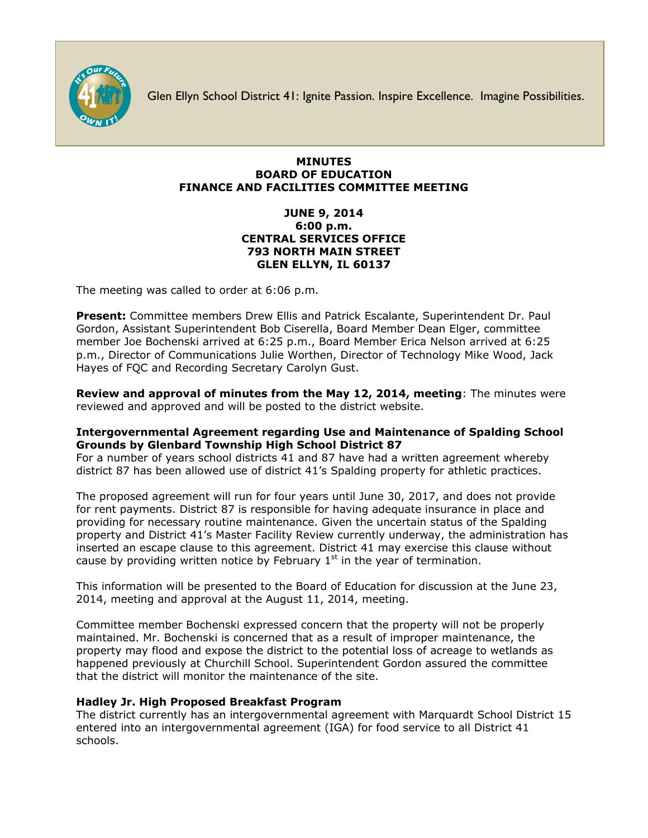

Glen Ellyn School District 41: Ignite Passion. Inspire Excellence. Imagine Possibilities.

## **MINUTES BOARD OF EDUCATION FINANCE AND FACILITIES COMMITTEE MEETING**

## **JUNE 9, 2014 6:00 p.m. CENTRAL SERVICES OFFICE 793 NORTH MAIN STREET GLEN ELLYN, IL 60137**

The meeting was called to order at 6:06 p.m.

**Present:** Committee members Drew Ellis and Patrick Escalante, Superintendent Dr. Paul Gordon, Assistant Superintendent Bob Ciserella, Board Member Dean Elger, committee member Joe Bochenski arrived at 6:25 p.m., Board Member Erica Nelson arrived at 6:25 p.m., Director of Communications Julie Worthen, Director of Technology Mike Wood, Jack Hayes of FQC and Recording Secretary Carolyn Gust.

**Review and approval of minutes from the May 12, 2014, meeting**: The minutes were reviewed and approved and will be posted to the district website.

# **Intergovernmental Agreement regarding Use and Maintenance of Spalding School Grounds by Glenbard Township High School District 87**

For a number of years school districts 41 and 87 have had a written agreement whereby district 87 has been allowed use of district 41's Spalding property for athletic practices.

The proposed agreement will run for four years until June 30, 2017, and does not provide for rent payments. District 87 is responsible for having adequate insurance in place and providing for necessary routine maintenance. Given the uncertain status of the Spalding property and District 41's Master Facility Review currently underway, the administration has inserted an escape clause to this agreement. District 41 may exercise this clause without cause by providing written notice by February  $1<sup>st</sup>$  in the year of termination.

This information will be presented to the Board of Education for discussion at the June 23, 2014, meeting and approval at the August 11, 2014, meeting.

Committee member Bochenski expressed concern that the property will not be properly maintained. Mr. Bochenski is concerned that as a result of improper maintenance, the property may flood and expose the district to the potential loss of acreage to wetlands as happened previously at Churchill School. Superintendent Gordon assured the committee that the district will monitor the maintenance of the site.

# **Hadley Jr. High Proposed Breakfast Program**

The district currently has an intergovernmental agreement with Marquardt School District 15 entered into an intergovernmental agreement (IGA) for food service to all District 41 schools.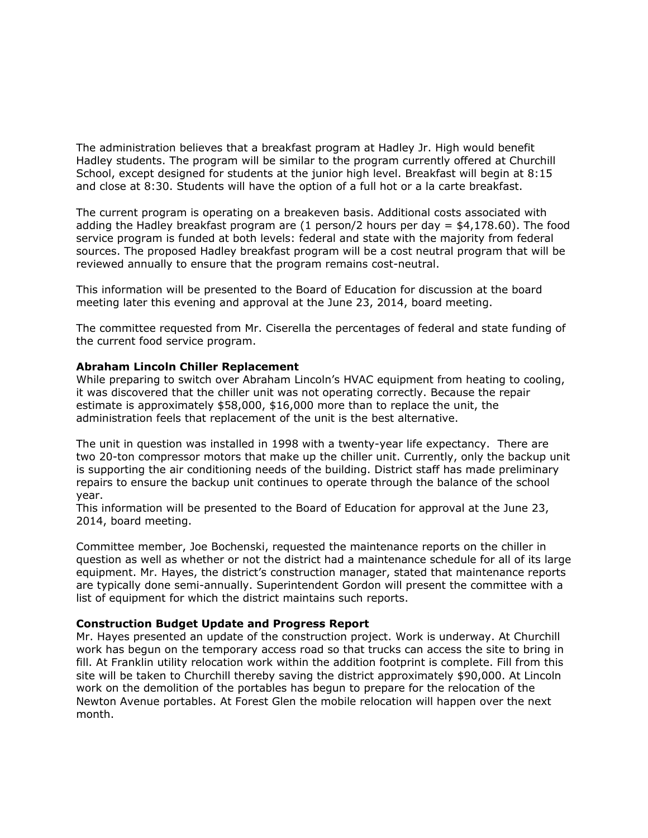The administration believes that a breakfast program at Hadley Jr. High would benefit Hadley students. The program will be similar to the program currently offered at Churchill School, except designed for students at the junior high level. Breakfast will begin at 8:15 and close at 8:30. Students will have the option of a full hot or a la carte breakfast.

The current program is operating on a breakeven basis. Additional costs associated with adding the Hadley breakfast program are  $(1 \text{ person}/2 \text{ hours per day} = $4,178.60)$ . The food service program is funded at both levels: federal and state with the majority from federal sources. The proposed Hadley breakfast program will be a cost neutral program that will be reviewed annually to ensure that the program remains cost-neutral.

This information will be presented to the Board of Education for discussion at the board meeting later this evening and approval at the June 23, 2014, board meeting.

The committee requested from Mr. Ciserella the percentages of federal and state funding of the current food service program.

### **Abraham Lincoln Chiller Replacement**

While preparing to switch over Abraham Lincoln's HVAC equipment from heating to cooling, it was discovered that the chiller unit was not operating correctly. Because the repair estimate is approximately \$58,000, \$16,000 more than to replace the unit, the administration feels that replacement of the unit is the best alternative.

The unit in question was installed in 1998 with a twenty-year life expectancy. There are two 20-ton compressor motors that make up the chiller unit. Currently, only the backup unit is supporting the air conditioning needs of the building. District staff has made preliminary repairs to ensure the backup unit continues to operate through the balance of the school year.

This information will be presented to the Board of Education for approval at the June 23, 2014, board meeting.

Committee member, Joe Bochenski, requested the maintenance reports on the chiller in question as well as whether or not the district had a maintenance schedule for all of its large equipment. Mr. Hayes, the district's construction manager, stated that maintenance reports are typically done semi-annually. Superintendent Gordon will present the committee with a list of equipment for which the district maintains such reports.

#### **Construction Budget Update and Progress Report**

Mr. Hayes presented an update of the construction project. Work is underway. At Churchill work has begun on the temporary access road so that trucks can access the site to bring in fill. At Franklin utility relocation work within the addition footprint is complete. Fill from this site will be taken to Churchill thereby saving the district approximately \$90,000. At Lincoln work on the demolition of the portables has begun to prepare for the relocation of the Newton Avenue portables. At Forest Glen the mobile relocation will happen over the next month.